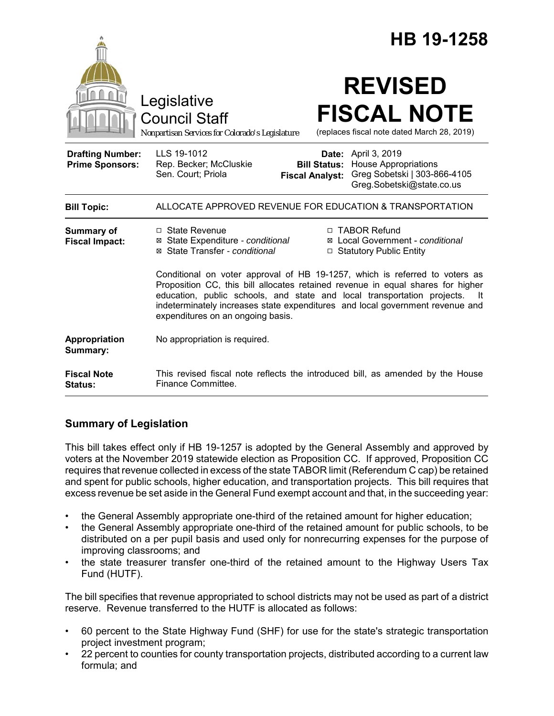|                                                   |                                                                                                                                                                                                                                                                                                                                                                         | HB 19-1258                                                                                                |
|---------------------------------------------------|-------------------------------------------------------------------------------------------------------------------------------------------------------------------------------------------------------------------------------------------------------------------------------------------------------------------------------------------------------------------------|-----------------------------------------------------------------------------------------------------------|
|                                                   | Legislative<br><b>Council Staff</b><br>Nonpartisan Services for Colorado's Legislature                                                                                                                                                                                                                                                                                  | <b>REVISED</b><br><b>FISCAL NOTE</b><br>(replaces fiscal note dated March 28, 2019)                       |
| <b>Drafting Number:</b><br><b>Prime Sponsors:</b> | LLS 19-1012<br>Date:<br>Rep. Becker; McCluskie<br><b>Bill Status:</b><br>Sen. Court; Priola<br><b>Fiscal Analyst:</b>                                                                                                                                                                                                                                                   | April 3, 2019<br><b>House Appropriations</b><br>Greg Sobetski   303-866-4105<br>Greg.Sobetski@state.co.us |
| <b>Bill Topic:</b>                                | ALLOCATE APPROVED REVENUE FOR EDUCATION & TRANSPORTATION                                                                                                                                                                                                                                                                                                                |                                                                                                           |
| <b>Summary of</b><br><b>Fiscal Impact:</b>        | $\Box$ State Revenue<br>⊠ State Expenditure - conditional<br>⊠ State Transfer - conditional                                                                                                                                                                                                                                                                             | □ TABOR Refund<br>⊠ Local Government - conditional<br>□ Statutory Public Entity                           |
|                                                   | Conditional on voter approval of HB 19-1257, which is referred to voters as<br>Proposition CC, this bill allocates retained revenue in equal shares for higher<br>education, public schools, and state and local transportation projects.<br>- It<br>indeterminately increases state expenditures and local government revenue and<br>expenditures on an ongoing basis. |                                                                                                           |
| Appropriation<br>Summary:                         | No appropriation is required.                                                                                                                                                                                                                                                                                                                                           |                                                                                                           |
| <b>Fiscal Note</b><br><b>Status:</b>              | This revised fiscal note reflects the introduced bill, as amended by the House<br>Finance Committee.                                                                                                                                                                                                                                                                    |                                                                                                           |

# **Summary of Legislation**

This bill takes effect only if HB 19-1257 is adopted by the General Assembly and approved by voters at the November 2019 statewide election as Proposition CC. If approved, Proposition CC requires that revenue collected in excess of the state TABOR limit (Referendum C cap) be retained and spent for public schools, higher education, and transportation projects. This bill requires that excess revenue be set aside in the General Fund exempt account and that, in the succeeding year:

- the General Assembly appropriate one-third of the retained amount for higher education;
- the General Assembly appropriate one-third of the retained amount for public schools, to be distributed on a per pupil basis and used only for nonrecurring expenses for the purpose of improving classrooms; and
- the state treasurer transfer one-third of the retained amount to the Highway Users Tax Fund (HUTF).

The bill specifies that revenue appropriated to school districts may not be used as part of a district reserve. Revenue transferred to the HUTF is allocated as follows:

- 60 percent to the State Highway Fund (SHF) for use for the state's strategic transportation project investment program;
- 22 percent to counties for county transportation projects, distributed according to a current law formula; and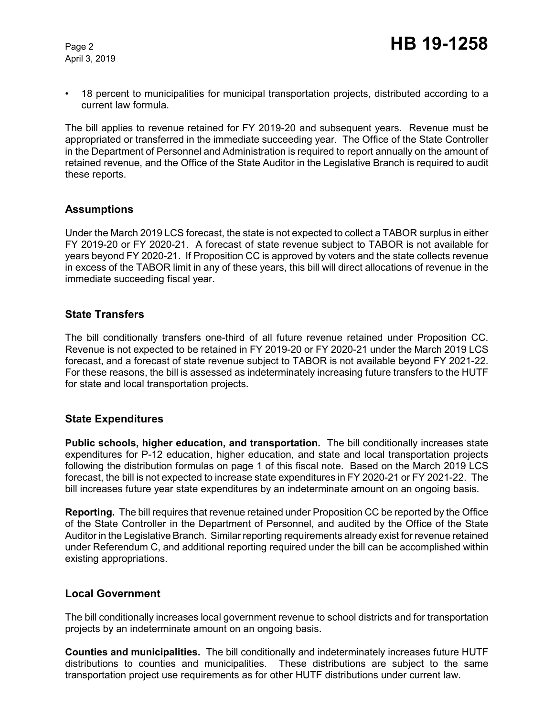April 3, 2019

• 18 percent to municipalities for municipal transportation projects, distributed according to a current law formula.

The bill applies to revenue retained for FY 2019-20 and subsequent years. Revenue must be appropriated or transferred in the immediate succeeding year. The Office of the State Controller in the Department of Personnel and Administration is required to report annually on the amount of retained revenue, and the Office of the State Auditor in the Legislative Branch is required to audit these reports.

### **Assumptions**

Under the March 2019 LCS forecast, the state is not expected to collect a TABOR surplus in either FY 2019-20 or FY 2020-21. A forecast of state revenue subject to TABOR is not available for years beyond FY 2020-21. If Proposition CC is approved by voters and the state collects revenue in excess of the TABOR limit in any of these years, this bill will direct allocations of revenue in the immediate succeeding fiscal year.

### **State Transfers**

The bill conditionally transfers one-third of all future revenue retained under Proposition CC. Revenue is not expected to be retained in FY 2019-20 or FY 2020-21 under the March 2019 LCS forecast, and a forecast of state revenue subject to TABOR is not available beyond FY 2021-22. For these reasons, the bill is assessed as indeterminately increasing future transfers to the HUTF for state and local transportation projects.

### **State Expenditures**

**Public schools, higher education, and transportation.** The bill conditionally increases state expenditures for P-12 education, higher education, and state and local transportation projects following the distribution formulas on page 1 of this fiscal note. Based on the March 2019 LCS forecast, the bill is not expected to increase state expenditures in FY 2020-21 or FY 2021-22. The bill increases future year state expenditures by an indeterminate amount on an ongoing basis.

**Reporting.** The bill requires that revenue retained under Proposition CC be reported by the Office of the State Controller in the Department of Personnel, and audited by the Office of the State Auditor in the Legislative Branch. Similar reporting requirements already exist for revenue retained under Referendum C, and additional reporting required under the bill can be accomplished within existing appropriations.

### **Local Government**

The bill conditionally increases local government revenue to school districts and for transportation projects by an indeterminate amount on an ongoing basis.

**Counties and municipalities.** The bill conditionally and indeterminately increases future HUTF distributions to counties and municipalities. These distributions are subject to the same transportation project use requirements as for other HUTF distributions under current law.